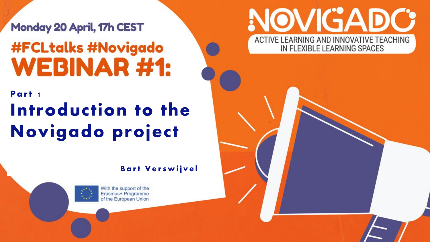Monday 20 April, 17h CEST **#FCLtalks #Novigado WEBINAR#1:** 

### Part 1 Introduction to the Novigado project

#### **Bart Verswijvel**



With the support of the Erasmus+ Programme of the European Union

#### NOVIGADC ACTIVE LEARNING AND INNOVATIVE TEACHING IN FLEXIBLE LEARNING SPACES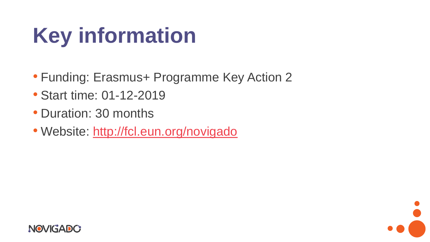## **Key information**

- Funding: Erasmus+ Programme Key Action 2
- Start time: 01-12-2019
- Duration: 30 months
- Website: <http://fcl.eun.org/novigado>



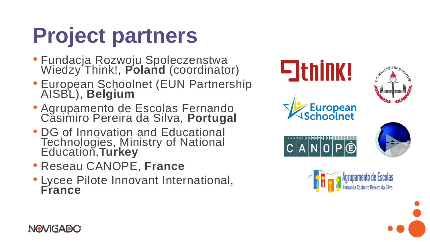# **Project partners**

- Fundacja Rozwoju Spoleczenstwa Wiedzy'Think!, Poland (coordinator)
- European Schoolnet (EUN Partnership AISBL), **Belgium**
- Agrupamento de Escolas Fernando Casimiro Pereira da Silva, **Portugal**
- DG of Innovation and Educational Technologies, Ministry of National Education,**Turkey**
- Reseau CANOPE, **France**
- Lycee Pilote Innovant International, **France**





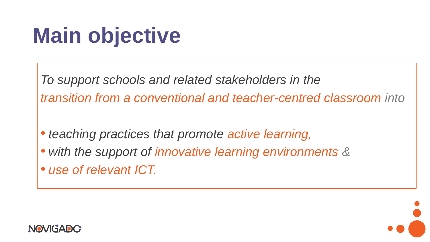## **Main objective**

*To support schools and related stakeholders in the transition from a conventional and teacher-centred classroom into*

- *teaching practices that promote active learning,*
- *with the support of innovative learning environments &*
- *use of relevant ICT.*



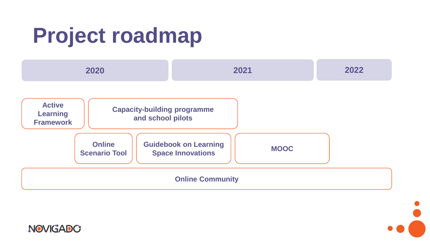## **Project roadmap**



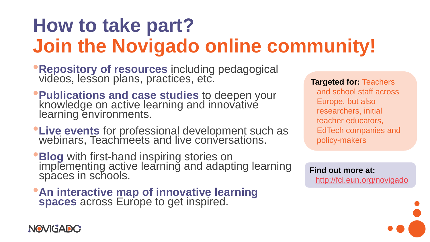### **How to take part? Join the Novigado online community!**

- •**Repository of resources** including pedagogical videos, lesson plans, practices, etc.
- •**Publications and case studies** to deepen your knowledge on active learning and innovative learning environments.
- •**Live events** for professional development such as webinars, Teachmeets and live conversations.
- **Blog** with first-hand inspiring stories on implementing active learning and adapting learning spaces in schools.
- •**An interactive map of innovative learning spaces** across Europe to get inspired.

**Targeted for:** Teachers and school staff across Europe, but also researchers, initial teacher educators, EdTech companies and policy-makers

**Find out more at:**  <http://fcl.eun.org/novigado>

NOVIGADC